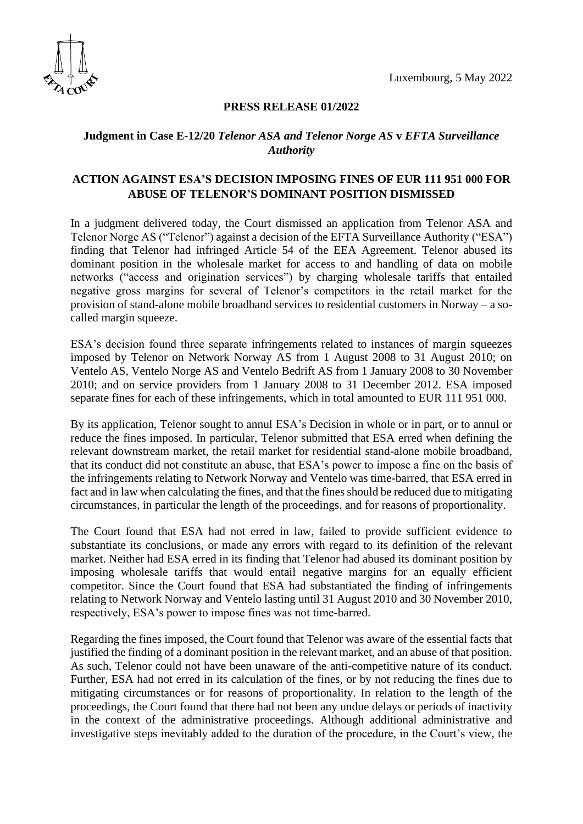

## **PRESS RELEASE 01/2022**

## **Judgment in Case E-12/20** *Telenor ASA and Telenor Norge AS* **v** *EFTA Surveillance Authority*

## **ACTION AGAINST ESA'S DECISION IMPOSING FINES OF EUR 111 951 000 FOR ABUSE OF TELENOR'S DOMINANT POSITION DISMISSED**

In a judgment delivered today, the Court dismissed an application from Telenor ASA and Telenor Norge AS ("Telenor") against a decision of the EFTA Surveillance Authority ("ESA") finding that Telenor had infringed Article 54 of the EEA Agreement. Telenor abused its dominant position in the wholesale market for access to and handling of data on mobile networks ("access and origination services") by charging wholesale tariffs that entailed negative gross margins for several of Telenor's competitors in the retail market for the provision of stand-alone mobile broadband services to residential customers in Norway – a socalled margin squeeze.

ESA's decision found three separate infringements related to instances of margin squeezes imposed by Telenor on Network Norway AS from 1 August 2008 to 31 August 2010; on Ventelo AS, Ventelo Norge AS and Ventelo Bedrift AS from 1 January 2008 to 30 November 2010; and on service providers from 1 January 2008 to 31 December 2012. ESA imposed separate fines for each of these infringements, which in total amounted to EUR 111 951 000.

By its application, Telenor sought to annul ESA's Decision in whole or in part, or to annul or reduce the fines imposed. In particular, Telenor submitted that ESA erred when defining the relevant downstream market, the retail market for residential stand-alone mobile broadband, that its conduct did not constitute an abuse, that ESA's power to impose a fine on the basis of the infringements relating to Network Norway and Ventelo was time-barred, that ESA erred in fact and in law when calculating the fines, and that the fines should be reduced due to mitigating circumstances, in particular the length of the proceedings, and for reasons of proportionality.

The Court found that ESA had not erred in law, failed to provide sufficient evidence to substantiate its conclusions, or made any errors with regard to its definition of the relevant market. Neither had ESA erred in its finding that Telenor had abused its dominant position by imposing wholesale tariffs that would entail negative margins for an equally efficient competitor. Since the Court found that ESA had substantiated the finding of infringements relating to Network Norway and Ventelo lasting until 31 August 2010 and 30 November 2010, respectively, ESA's power to impose fines was not time-barred.

Regarding the fines imposed, the Court found that Telenor was aware of the essential facts that justified the finding of a dominant position in the relevant market, and an abuse of that position. As such, Telenor could not have been unaware of the anti-competitive nature of its conduct. Further, ESA had not erred in its calculation of the fines, or by not reducing the fines due to mitigating circumstances or for reasons of proportionality. In relation to the length of the proceedings, the Court found that there had not been any undue delays or periods of inactivity in the context of the administrative proceedings. Although additional administrative and investigative steps inevitably added to the duration of the procedure, in the Court's view, the